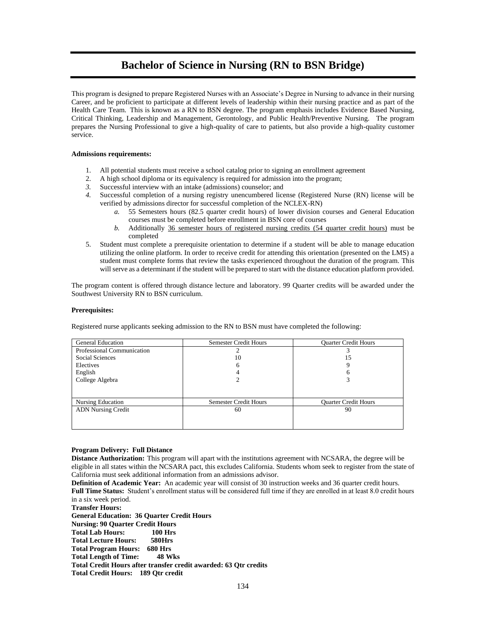# **Bachelor of Science in Nursing (RN to BSN Bridge)**

This program is designed to prepare Registered Nurses with an Associate's Degree in Nursing to advance in their nursing Career, and be proficient to participate at different levels of leadership within their nursing practice and as part of the Health Care Team. This is known as a RN to BSN degree. The program emphasis includes Evidence Based Nursing, Critical Thinking, Leadership and Management, Gerontology, and Public Health/Preventive Nursing. The program prepares the Nursing Professional to give a high-quality of care to patients, but also provide a high-quality customer service.

### **Admissions requirements:**

- 1. All potential students must receive a school catalog prior to signing an enrollment agreement
- 2. A high school diploma or its equivalency is required for admission into the program;
- *3.* Successful interview with an intake (admissions) counselor; and
- *4.* Successful completion of a nursing registry unencumbered license (Registered Nurse (RN) license will be verified by admissions director for successful completion of the NCLEX-RN)
	- *a.* 55 Semesters hours (82.5 quarter credit hours) of lower division courses and General Education courses must be completed before enrollment in BSN core of courses
	- *b.* Additionally 36 semester hours of registered nursing credits (54 quarter credit hours) must be completed
- 5. Student must complete a prerequisite orientation to determine if a student will be able to manage education utilizing the online platform. In order to receive credit for attending this orientation (presented on the LMS) a student must complete forms that review the tasks experienced throughout the duration of the program. This will serve as a determinant if the student will be prepared to start with the distance education platform provided.

The program content is offered through distance lecture and laboratory. 99 Quarter credits will be awarded under the Southwest University RN to BSN curriculum.

### **Prerequisites:**

Registered nurse applicants seeking admission to the RN to BSN must have completed the following:

| <b>General Education</b>   | <b>Semester Credit Hours</b> | <b>Ouarter Credit Hours</b> |
|----------------------------|------------------------------|-----------------------------|
| Professional Communication |                              |                             |
| Social Sciences            | 10                           | 15                          |
| Electives                  |                              |                             |
| English                    |                              |                             |
| College Algebra            |                              |                             |
|                            |                              |                             |
| Nursing Education          | <b>Semester Credit Hours</b> | <b>Ouarter Credit Hours</b> |
| <b>ADN Nursing Credit</b>  | 60                           | 90                          |
|                            |                              |                             |
|                            |                              |                             |

### **Program Delivery: Full Distance**

**Distance Authorization:** This program will apart with the institutions agreement with NCSARA, the degree will be eligible in all states within the NCSARA pact, this excludes California. Students whom seek to register from the state of California must seek additional information from an admissions advisor.

**Definition of Academic Year:** An academic year will consist of 30 instruction weeks and 36 quarter credit hours. **Full Time Status:** Student's enrollment status will be considered full time if they are enrolled in at least 8.0 credit hours in a six week period.

**Transfer Hours:**

**General Education: 36 Quarter Credit Hours Nursing: 90 Quarter Credit Hours Total Lab Hours: 100 Hrs Total Lecture Hours: 580Hrs Total Program Hours: Total Length of Time: 48 Wks Total Credit Hours after transfer credit awarded: 63 Qtr credits Total Credit Hours: 189 Qtr credit**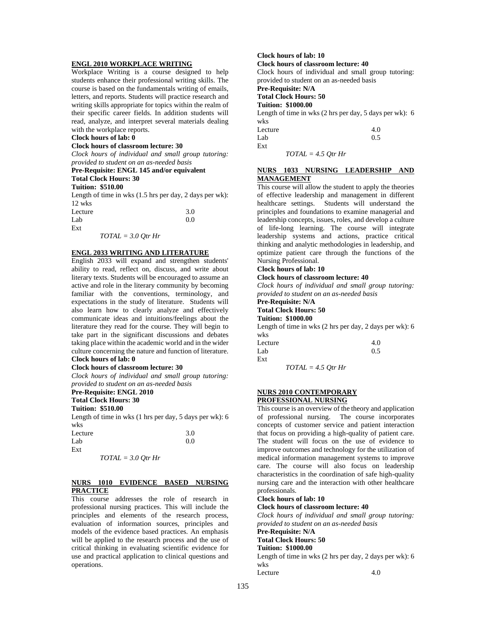### **ENGL 2010 WORKPLACE WRITING**

Workplace Writing is a course designed to help students enhance their professional writing skills. The course is based on the fundamentals writing of emails, letters, and reports. Students will practice research and writing skills appropriate for topics within the realm of their specific career fields. In addition students will read, analyze, and interpret several materials dealing with the workplace reports.

### **Clock hours of lab: 0**

#### **Clock hours of classroom lecture: 30**

*Clock hours of individual and small group tutoring: provided to student on an as-needed basis*

### **Pre-Requisite: ENGL 145 and/or equivalent**

### **Total Clock Hours: 30**

### **Tuition: \$510.00**

Length of time in wks (1.5 hrs per day, 2 days per wk): 12 wks

| Lecture              | 3.0 |
|----------------------|-----|
| Lab                  | 0.0 |
| Ext                  |     |
| $TOTAL = 3.0 Qtr Hr$ |     |

### **ENGL 2033 WRITING AND LITERATURE**

English 2033 will expand and strengthen students' ability to read, reflect on, discuss, and write about literary texts. Students will be encouraged to assume an active and role in the literary community by becoming familiar with the conventions, terminology, and expectations in the study of literature. Students will also learn how to clearly analyze and effectively communicate ideas and intuitions/feelings about the literature they read for the course. They will begin to take part in the significant discussions and debates taking place within the academic world and in the wider culture concerning the nature and function of literature. **Clock hours of lab: 0** 

#### **Clock hours of classroom lecture: 30**

*Clock hours of individual and small group tutoring: provided to student on an as-needed basis*

# **Pre-Requisite: ENGL 2010**

# **Total Clock Hours: 30**

**Tuition: \$510.00**

Length of time in wks (1 hrs per day, 5 days per wk): 6 wks

| Lecture | 3.0 |
|---------|-----|
| Lab     | 0.0 |
| Ext     |     |

### *TOTAL = 3.0 Qtr Hr*

### **NURS 1010 EVIDENCE BASED NURSING PRACTICE**

This course addresses the role of research in professional nursing practices. This will include the principles and elements of the research process, evaluation of information sources, principles and models of the evidence based practices. An emphasis will be applied to the research process and the use of critical thinking in evaluating scientific evidence for use and practical application to clinical questions and operations.

# **Clock hours of lab: 10**

**Clock hours of classroom lecture: 40** Clock hours of individual and small group tutoring:

provided to student on an as-needed basis

### **Pre-Requisite: N/A**

# **Total Clock Hours: 50**

### **Tuition: \$1000.00**

Length of time in wks (2 hrs per day, 5 days per wk): 6 wks

| Lecture |  | 4.0 |
|---------|--|-----|
| Lab     |  | 0.5 |
| Ext     |  |     |
|         |  |     |

*TOTAL = 4.5 Qtr Hr*

### **NURS 1033 NURSING LEADERSHIP AND MANAGEMENT**

This course will allow the student to apply the theories of effective leadership and management in different healthcare settings. Students will understand the principles and foundations to examine managerial and leadership concepts, issues, roles, and develop a culture of life-long learning. The course will integrate leadership systems and actions, practice critical thinking and analytic methodologies in leadership, and optimize patient care through the functions of the Nursing Professional.

### **Clock hours of lab: 10**

#### **Clock hours of classroom lecture: 40**

*Clock hours of individual and small group tutoring: provided to student on an as-needed basis*

#### **Pre-Requisite: N/A Total Clock Hours: 50**

### **Tuition: \$1000.00**

Length of time in wks (2 hrs per day, 2 days per wk): 6 wks

| Lecture |                      | 4.0 |
|---------|----------------------|-----|
| Lab     |                      | 0.5 |
| Ext     |                      |     |
|         | $TOTAL = 4.5 Qtr Hr$ |     |

**NURS 2010 CONTEMPORARY**

### **PROFESSIONAL NURSING**

This course is an overview of the theory and application of professional nursing. The course incorporates concepts of customer service and patient interaction that focus on providing a high-quality of patient care. The student will focus on the use of evidence to improve outcomes and technology for the utilization of medical information management systems to improve care. The course will also focus on leadership characteristics in the coordination of safe high-quality nursing care and the interaction with other healthcare professionals.

## **Clock hours of lab: 10**

**Clock hours of classroom lecture: 40**

*Clock hours of individual and small group tutoring: provided to student on an as-needed basis*

### **Pre-Requisite: N/A**

#### **Total Clock Hours: 50**

**Tuition: \$1000.00**

Length of time in wks (2 hrs per day, 2 days per wk): 6 wks Lecture 4.0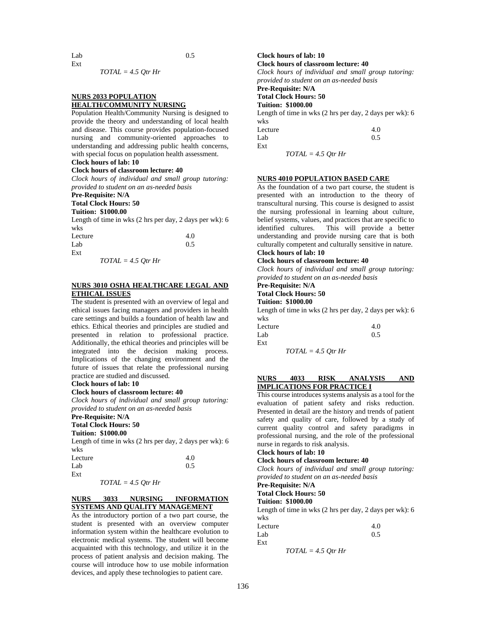$Lab$  0.5

*TOTAL = 4.5 Qtr Hr*

# **NURS 2033 POPULATION HEALTH/COMMUNITY NURSING**

Population Health/Community Nursing is designed to provide the theory and understanding of local health and disease. This course provides population-focused nursing and community-oriented approaches to understanding and addressing public health concerns, with special focus on population health assessment. **Clock hours of lab: 10** 

Ext

# **Clock hours of classroom lecture: 40**

*Clock hours of individual and small group tutoring: provided to student on an as-needed basis*

# **Pre-Requisite: N/A**

# **Total Clock Hours: 50**

# **Tuition: \$1000.00**

Length of time in wks (2 hrs per day, 2 days per wk): 6 wks

| Lecture |  | 4.0 |
|---------|--|-----|
| Lab     |  | 0.5 |
| Ext     |  |     |
|         |  |     |

*TOTAL = 4.5 Qtr Hr*

### **NURS 3010 OSHA HEALTHCARE LEGAL AND ETHICAL ISSUES**

The student is presented with an overview of legal and ethical issues facing managers and providers in health care settings and builds a foundation of health law and ethics. Ethical theories and principles are studied and presented in relation to professional practice. Additionally, the ethical theories and principles will be integrated into the decision making process. Implications of the changing environment and the future of issues that relate the professional nursing practice are studied and discussed.

### **Clock hours of lab: 10**

### **Clock hours of classroom lecture: 40**

*Clock hours of individual and small group tutoring: provided to student on an as-needed basis*

# **Pre-Requisite: N/A**

#### **Total Clock Hours: 50 Tuition: \$1000.00**

Length of time in wks (2 hrs per day, 2 days per wk): 6 wks

| Lecture | 4.0 |
|---------|-----|
| Lab     | 0.5 |
| Ext     |     |

*TOTAL = 4.5 Qtr Hr*

### **NURS 3033 NURSING INFORMATION SYSTEMS AND QUALITY MANAGEMENT**

As the introductory portion of a two part course, the student is presented with an overview computer information system within the healthcare evolution to electronic medical systems. The student will become acquainted with this technology, and utilize it in the process of patient analysis and decision making. The course will introduce how to use mobile information devices, and apply these technologies to patient care.

### **Clock hours of lab: 10 Clock hours of classroom lecture: 40**

*Clock hours of individual and small group tutoring: provided to student on an as-needed basis*

# **Pre-Requisite: N/A**

# **Total Clock Hours: 50**

**Tuition: \$1000.00**

Length of time in wks (2 hrs per day, 2 days per wk): 6 wks

| Lecture |                      | 4.0 |
|---------|----------------------|-----|
| Lab     |                      | 0.5 |
| Ext     |                      |     |
|         | $TOTAL = 4.5$ Otr Hr |     |

### **NURS 4010 POPULATION BASED CARE**

As the foundation of a two part course, the student is presented with an introduction to the theory of transcultural nursing. This course is designed to assist the nursing professional in learning about culture, belief systems, values, and practices that are specific to identified cultures. This will provide a better understanding and provide nursing care that is both culturally competent and culturally sensitive in nature. **Clock hours of lab: 10** 

### **Clock hours of classroom lecture: 40**

*Clock hours of individual and small group tutoring: provided to student on an as-needed basis*

# **Pre-Requisite: N/A**

# **Total Clock Hours: 50**

**Tuition: \$1000.00**

Length of time in wks (2 hrs per day, 2 days per wk): 6 wks

| Lecture | 4.0 |
|---------|-----|
| Lab     | 0.5 |
| Ext     |     |

*TOTAL = 4.5 Qtr Hr*

### **NURS 4033 RISK ANALYSIS AND IMPLICATIONS FOR PRACTICE I**

This course introduces systems analysis as a tool for the evaluation of patient safety and risks reduction. Presented in detail are the history and trends of patient safety and quality of care, followed by a study of current quality control and safety paradigms in professional nursing, and the role of the professional nurse in regards to risk analysis.

## **Clock hours of lab: 10**

### **Clock hours of classroom lecture: 40**

*Clock hours of individual and small group tutoring: provided to student on an as-needed basis*

# **Pre-Requisite: N/A**

#### **Total Clock Hours: 50 Tuition: \$1000.00**

Length of time in wks (2 hrs per day, 2 days per wk): 6 wks

| Lecture | 4.0 |
|---------|-----|
| Lab     | 0.5 |
| Ext     |     |

*TOTAL = 4.5 Qtr Hr*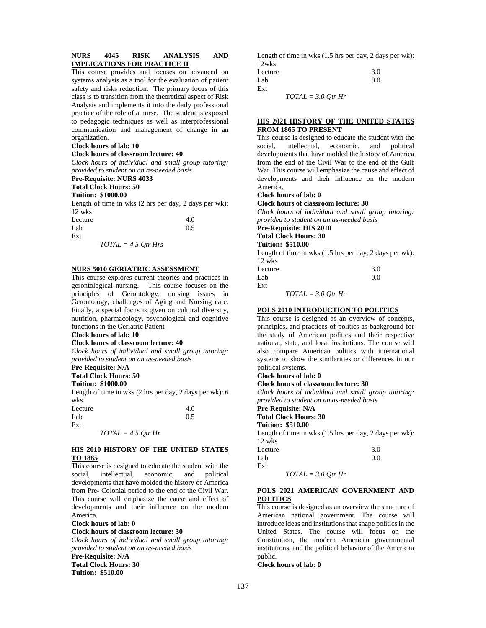### **NURS 4045 RISK ANALYSIS AND IMPLICATIONS FOR PRACTICE II**

This course provides and focuses on advanced on systems analysis as a tool for the evaluation of patient safety and risks reduction. The primary focus of this class is to transition from the theoretical aspect of Risk Analysis and implements it into the daily professional practice of the role of a nurse. The student is exposed to pedagogic techniques as well as interprofessional communication and management of change in an organization.

#### **Clock hours of lab: 10**

#### **Clock hours of classroom lecture: 40**

*Clock hours of individual and small group tutoring: provided to student on an as-needed basis*

# **Pre-Requisite: NURS 4033**

**Total Clock Hours: 50**

### **Tuition: \$1000.00**

Length of time in wks (2 hrs per day, 2 days per wk): 12 wks

| Lecture | 4.0 |
|---------|-----|
| Lab     | 0.5 |
| Ext     |     |

*TOTAL = 4.5 Qtr Hrs*

### **NURS 5010 GERIATRIC ASSESSMENT**

This course explores current theories and practices in gerontological nursing. This course focuses on the principles of Gerontology, nursing issues in Gerontology, challenges of Aging and Nursing care. Finally, a special focus is given on cultural diversity, nutrition, pharmacology, psychological and cognitive functions in the Geriatric Patient

### **Clock hours of lab: 10**

### **Clock hours of classroom lecture: 40**

*Clock hours of individual and small group tutoring: provided to student on an as-needed basis*

### **Pre-Requisite: N/A**

**Total Clock Hours: 50**

# **Tuition: \$1000.00**

Length of time in wks (2 hrs per day, 2 days per wk): 6 wks Lecture 4.0

| Lucuru |                      | T.V |
|--------|----------------------|-----|
| Lab    |                      | 0.5 |
| Ext    |                      |     |
|        | $TOTAL = 4.5$ Otr Hr |     |

### **HIS 2010 HISTORY OF THE UNITED STATES TO 1865**

This course is designed to educate the student with the social, intellectual, economic, and political developments that have molded the history of America from Pre- Colonial period to the end of the Civil War. This course will emphasize the cause and effect of developments and their influence on the modern America.

### **Clock hours of lab: 0**

**Clock hours of classroom lecture: 30**

*Clock hours of individual and small group tutoring: provided to student on an as-needed basis* **Pre-Requisite: N/A Total Clock Hours: 30 Tuition: \$510.00**

Length of time in wks (1.5 hrs per day, 2 days per wk): 12wks Lecture 3.0

| ------- | $\sim \cdot$ |
|---------|--------------|
| Lab     | 0.0          |
| Ext     |              |

*TOTAL = 3.0 Qtr Hr*

### **HIS 2021 HISTORY OF THE UNITED STATES FROM 1865 TO PRESENT**

This course is designed to educate the student with the social, intellectual, economic, and political developments that have molded the history of America from the end of the Civil War to the end of the Gulf War. This course will emphasize the cause and effect of developments and their influence on the modern America.

# **Clock hours of lab: 0**

**Clock hours of classroom lecture: 30**

*Clock hours of individual and small group tutoring: provided to student on an as-needed basis*

# **Pre-Requisite: HIS 2010**

**Total Clock Hours: 30**

# **Tuition: \$510.00**

Length of time in wks (1.5 hrs per day, 2 days per wk): 12 wks Lecture 3.0

| ------- | <u>.</u> |
|---------|----------|
| Lab     | 0.0      |
| Ext     |          |

*TOTAL = 3.0 Qtr Hr*

# **POLS 2010 INTRODUCTION TO POLITICS**

This course is designed as an overview of concepts, principles, and practices of politics as background for the study of American politics and their respective national, state, and local institutions. The course will also compare American politics with international systems to show the similarities or differences in our political systems.

### **Clock hours of lab: 0**

### **Clock hours of classroom lecture: 30**

*Clock hours of individual and small group tutoring: provided to student on an as-needed basis*

# **Pre-Requisite: N/A**

**Total Clock Hours: 30 Tuition: \$510.00**

Ext

# Length of time in wks (1.5 hrs per day, 2 days per wk):

12 wks Lecture 3.0  $Lab$  0.0

*TOTAL = 3.0 Qtr Hr*

### **POLS 2021 AMERICAN GOVERNMENT AND POLITICS**

This course is designed as an overview the structure of American national government. The course will introduce ideas and institutions that shape politics in the United States. The course will focus on the Constitution, the modern American governmental institutions, and the political behavior of the American public.

### **Clock hours of lab: 0**